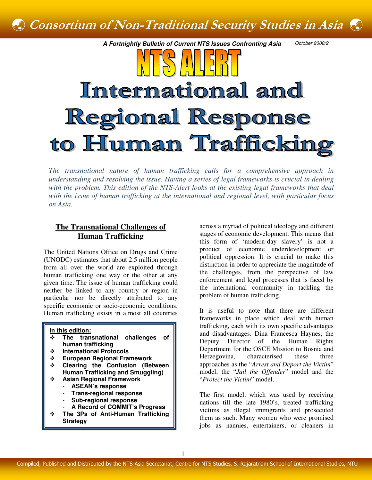

*The transnational nature of human trafficking calls for a comprehensive approach in understanding and resolving the issue. Having a series of legal frameworks is crucial in dealing*  with the problem. This edition of the NTS-Alert looks at the existing legal frameworks that deal *with the issue of human trafficking at the international and regional level, with particular focus on Asia.* 

# **The Transnational Challenges of Human Trafficking**

The United Nations Office on Drugs and Crime (UNODC) estimates that about 2.5 million people from all over the world are exploited through human trafficking one way or the other at any given time. The issue of human trafficking could neither be linked to any country or region in particular nor be directly attributed to any specific economic or socio-economic conditions. Human trafficking exists in almost all countries

#### **In this edition:**

- **The transnational challenges of human trafficking**
- **International Protocols**
- **European Regional Framework**
- **Clearing the Confusion (Between Human Trafficking and Smuggling)** 
	- **Asian Regional Framework**  - **ASEAN's response** 
		- **Trans-regional response**
		- **Sub-regional response**
		- **A Record of COMMIT's Progress**
- **The 3Ps of Anti-Human Trafficking Strategy**

across a myriad of political ideology and different stages of economic development. This means that this form of 'modern-day slavery' is not a product of economic underdevelopment or political oppression. It is crucial to make this distinction in order to appreciate the magnitude of the challenges, from the perspective of law enforcement and legal processes that is faced by the international community in tackling the problem of human trafficking.

It is useful to note that there are different frameworks in place which deal with human trafficking, each with its own specific advantages and disadvantages. Dina Francesca Haynes, the Deputy Director of the Human Rights Department for the OSCE Mission to Bosnia and Herzegovina, characterised these three approaches as the "*Arrest and Deport the Victim*" model, the "*Jail the Offender*" model and the "*Protect the Victim*" model.

The first model, which was used by receiving nations till the late 1980's, treated trafficking victims as illegal immigrants and prosecuted them as such. Many women who were promised jobs as nannies, entertainers, or cleaners in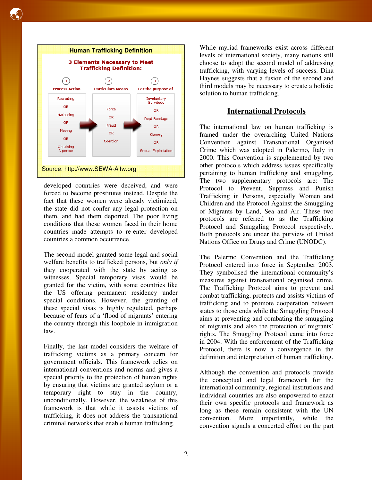

developed countries were deceived, and were forced to become prostitutes instead. Despite the fact that these women were already victimized, the state did not confer any legal protection on them, and had them deported. The poor living conditions that these women faced in their home countries made attempts to re-enter developed countries a common occurrence.

The second model granted some legal and social welfare benefits to trafficked persons, but *only if*  they cooperated with the state by acting as witnesses. Special temporary visas would be granted for the victim, with some countries like the US offering permanent residency under special conditions. However, the granting of these special visas is highly regulated, perhaps because of fears of a 'flood of migrants' entering the country through this loophole in immigration law.

Finally, the last model considers the welfare of trafficking victims as a primary concern for government officials. This framework relies on international conventions and norms and gives a special priority to the protection of human rights by ensuring that victims are granted asylum or a temporary right to stay in the country, unconditionally. However, the weakness of this framework is that while it assists victims of trafficking, it does not address the transnational criminal networks that enable human trafficking.

While myriad frameworks exist across different levels of international society, many nations still choose to adopt the second model of addressing trafficking, with varying levels of success. Dina Haynes suggests that a fusion of the second and third models may be necessary to create a holistic solution to human trafficking.

## **International Protocols**

The international law on human trafficking is framed under the overarching United Nations Convention against Transnational Organised Crime which was adopted in Palermo, Italy in 2000. This Convention is supplemented by two other protocols which address issues specifically pertaining to human trafficking and smuggling. The two supplementary protocols are: The Protocol to Prevent, Suppress and Punish Trafficking in Persons, especially Women and Children and the Protocol Against the Smuggling of Migrants by Land, Sea and Air. These two protocols are referred to as the Trafficking Protocol and Smuggling Protocol respectively. Both protocols are under the purview of United Nations Office on Drugs and Crime (UNODC).

The Palermo Convention and the Trafficking Protocol entered into force in September 2003. They symbolised the international community's measures against transnational organised crime. The Trafficking Protocol aims to prevent and combat trafficking, protects and assists victims of trafficking and to promote cooperation between states to those ends while the Smuggling Protocol aims at preventing and combating the smuggling of migrants and also the protection of migrants' rights. The Smuggling Protocol came into force in 2004. With the enforcement of the Trafficking Protocol, there is now a convergence in the definition and interpretation of human trafficking.

Although the convention and protocols provide the conceptual and legal framework for the international community, regional institutions and individual countries are also empowered to enact their own specific protocols and framework as long as these remain consistent with the UN convention. More importantly, while the convention signals a concerted effort on the part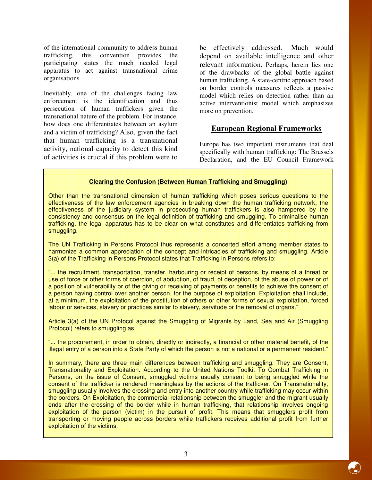of the international community to address human trafficking, this convention provides the participating states the much needed legal apparatus to act against transnational crime organisations.

Inevitably, one of the challenges facing law enforcement is the identification and thus persecution of human traffickers given the transnational nature of the problem. For instance, how does one differentiates between an asylum and a victim of trafficking? Also, given the fact that human trafficking is a transnational activity, national capacity to detect this kind of activities is crucial if this problem were to

be effectively addressed. Much would depend on available intelligence and other relevant information. Perhaps, herein lies one of the drawbacks of the global battle against human trafficking. A state-centric approach based on border controls measures reflects a passive model which relies on detection rather than an active interventionist model which emphasizes more on prevention.

# **European Regional Frameworks**

Europe has two important instruments that deal specifically with human trafficking: The Brussels Declaration, and the EU Council Framework

#### **Clearing the Confusion (Between Human Trafficking and Smuggling)**

Other than the transnational dimension of human trafficking which poses serious questions to the effectiveness of the law enforcement agencies in breaking down the human trafficking network, the effectiveness of the judiciary system in prosecuting human traffickers is also hampered by the consistency and consensus on the legal definition of trafficking and smuggling. To criminalise human trafficking, the legal apparatus has to be clear on what constitutes and differentiates trafficking from smuggling.

The UN Trafficking in Persons Protocol thus represents a concerted effort among member states to harmonize a common appreciation of the concept and intricacies of trafficking and smuggling. Article 3(a) of the Trafficking in Persons Protocol states that Trafficking in Persons refers to:

"... the recruitment, transportation, transfer, harbouring or receipt of persons, by means of a threat or use of force or other forms of coercion, of abduction, of fraud, of deception, of the abuse of power or of a position of vulnerability or of the giving or receiving of payments or benefits to achieve the consent of a person having control over another person, for the purpose of exploitation. Exploitation shall include, at a minimum, the exploitation of the prostitution of others or other forms of sexual exploitation, forced labour or services, slavery or practices similar to slavery, servitude or the removal of organs."

Article 3(a) of the UN Protocol against the Smuggling of Migrants by Land, Sea and Air (Smuggling Protocol) refers to smuggling as:

"... the procurement, in order to obtain, directly or indirectly, a financial or other material benefit, of the illegal entry of a person into a State Party of which the person is not a national or a permanent resident."

In summary, there are three main differences between trafficking and smuggling. They are Consent, Transnationality and Exploitation. According to the United Nations Toolkit To Combat Trafficking in Persons, on the issue of Consent, smuggled victims usually consent to being smuggled while the consent of the trafficker is rendered meaningless by the actions of the trafficker. On Transnationality, smuggling usually involves the crossing and entry into another country while trafficking may occur within the borders. On Exploitation, the commercial relationship between the smuggler and the migrant usually ends after the crossing of the border while in human trafficking, that relationship involves ongoing exploitation of the person (victim) in the pursuit of profit. This means that smugglers profit from transporting or moving people across borders while traffickers receives additional profit from further exploitation of the victims.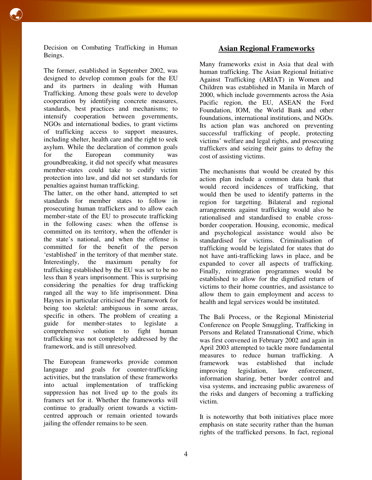Decision on Combating Trafficking in Human Beings.

The former, established in September 2002, was designed to develop common goals for the EU and its partners in dealing with Human Trafficking. Among these goals were to develop cooperation by identifying concrete measures, standards, best practices and mechanisms; to intensify cooperation between governments, NGOs and international bodies, to grant victims of trafficking access to support measures, including shelter, health care and the right to seek asylum. While the declaration of common goals for the European community was groundbreaking, it did not specify what measures member-states could take to codify victim protection into law, and did not set standards for penalties against human trafficking.

The latter, on the other hand, attempted to set standards for member states to follow in prosecuting human traffickers and to allow each member-state of the EU to prosecute trafficking in the following cases: when the offense is committed on its territory, when the offender is the state's national, and when the offense is committed for the benefit of the person 'established' in the territory of that member state. Interestingly, the maximum penalty for trafficking established by the EU was set to be no less than 8 years imprisonment. This is surprising considering the penalties for drug trafficking ranged all the way to life imprisonment. Dina Haynes in particular criticised the Framework for being too skeletal: ambiguous in some areas, specific in others. The problem of creating a guide for member-states to legislate a comprehensive solution to fight human trafficking was not completely addressed by the framework, and is still unresolved.

The European frameworks provide common language and goals for counter-trafficking activities, but the translation of these frameworks into actual implementation of trafficking suppression has not lived up to the goals its framers set for it. Whether the frameworks will continue to gradually orient towards a victimcentred approach or remain oriented towards jailing the offender remains to be seen.

# **Asian Regional Frameworks**

Many frameworks exist in Asia that deal with human trafficking. The Asian Regional Initiative Against Trafficking (ARIAT) in Women and Children was established in Manila in March of 2000, which include governments across the Asia Pacific region, the EU, ASEAN the Ford Foundation, IOM, the World Bank and other foundations, international institutions, and NGOs. Its action plan was anchored on preventing successful trafficking of people, protecting victims' welfare and legal rights, and prosecuting traffickers and seizing their gains to defray the cost of assisting victims.

The mechanisms that would be created by this action plan include a common data bank that would record incidences of trafficking, that would then be used to identify patterns in the region for targetting. Bilateral and regional arrangements against trafficking would also be rationalised and standardised to enable crossborder cooperation. Housing, economic, medical and psychological assistance would also be standardised for victims. Criminalisation of trafficking would be legislated for states that do not have anti-trafficking laws in place, and be expanded to cover all aspects of trafficking. Finally, reintegration programmes would be established to allow for the dignified return of victims to their home countries, and assistance to allow them to gain employment and access to health and legal services would be instituted.

The Bali Process, or the Regional Ministerial Conference on People Smuggling, Trafficking in Persons and Related Transnational Crime, which was first convened in February 2002 and again in April 2003 attempted to tackle more fundamental measures to reduce human trafficking. A framework was established that include improving legislation, law enforcement, information sharing, better border control and visa systems, and increasing public awareness of the risks and dangers of becoming a trafficking victim.

It is noteworthy that both initiatives place more emphasis on state security rather than the human rights of the trafficked persons. In fact, regional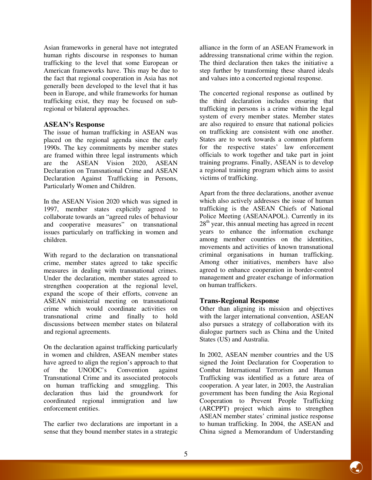Asian frameworks in general have not integrated human rights discourse in responses to human trafficking to the level that some European or American frameworks have. This may be due to the fact that regional cooperation in Asia has not generally been developed to the level that it has been in Europe, and while frameworks for human trafficking exist, they may be focused on subregional or bilateral approaches.

### **ASEAN's Response**

The issue of human trafficking in ASEAN was placed on the regional agenda since the early 1990s. The key commitments by member states are framed within three legal instruments which are the ASEAN Vision 2020, ASEAN Declaration on Transnational Crime and ASEAN Declaration Against Trafficking in Persons, Particularly Women and Children.

In the ASEAN Vision 2020 which was signed in 1997, member states explicitly agreed to collaborate towards an "agreed rules of behaviour and cooperative measures" on transnational issues particularly on trafficking in women and children.

With regard to the declaration on transnational crime, member states agreed to take specific measures in dealing with transnational crimes. Under the declaration, member states agreed to strengthen cooperation at the regional level, expand the scope of their efforts, convene an ASEAN ministerial meeting on transnational crime which would coordinate activities on transnational crime and finally to hold discussions between member states on bilateral and regional agreements.

On the declaration against trafficking particularly in women and children, ASEAN member states have agreed to align the region's approach to that of the UNODC's Convention against Transnational Crime and its associated protocols on human trafficking and smuggling. This declaration thus laid the groundwork for coordinated regional immigration and law enforcement entities.

The earlier two declarations are important in a sense that they bound member states in a strategic alliance in the form of an ASEAN Framework in addressing transnational crime within the region. The third declaration then takes the initiative a step further by transforming these shared ideals and values into a concerted regional response.

The concerted regional response as outlined by the third declaration includes ensuring that trafficking in persons is a crime within the legal system of every member states. Member states are also required to ensure that national policies on trafficking are consistent with one another. States are to work towards a common platform for the respective states' law enforcement officials to work together and take part in joint training programs. Finally, ASEAN is to develop a regional training program which aims to assist victims of trafficking.

Apart from the three declarations, another avenue which also actively addresses the issue of human trafficking is the ASEAN Chiefs of National Police Meeting (ASEANAPOL). Currently in its  $28<sup>th</sup>$  year, this annual meeting has agreed in recent years to enhance the information exchange among member countries on the identities, movements and activities of known transnational criminal organisations in human trafficking. Among other initiatives, members have also agreed to enhance cooperation in border-control management and greater exchange of information on human traffickers.

### **Trans-Regional Response**

Other than aligning its mission and objectives with the larger international convention, ASEAN also pursues a strategy of collaboration with its dialogue partners such as China and the United States (US) and Australia.

In 2002, ASEAN member countries and the US signed the Joint Declaration for Cooperation to Combat International Terrorism and Human Trafficking was identified as a future area of cooperation. A year later, in 2003, the Australian government has been funding the Asia Regional Cooperation to Prevent People Trafficking (ARCPPT) project which aims to strengthen ASEAN member states' criminal justice response to human trafficking. In 2004, the ASEAN and China signed a Memorandum of Understanding

O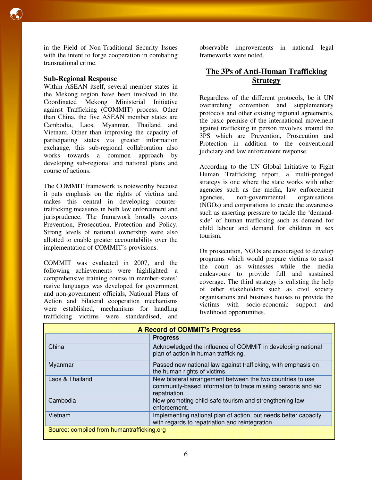#### **Sub-Regional Response**

Within ASEAN itself, several member states in the Mekong region have been involved in the Coordinated Mekong Ministerial Initiative against Trafficking (COMMIT) process. Other than China, the five ASEAN member states are Cambodia, Laos, Myanmar, Thailand and Vietnam. Other than improving the capacity of participating states via greater information exchange, this sub-regional collaboration also works towards a common approach by developing sub-regional and national plans and course of actions.

The COMMIT framework is noteworthy because it puts emphasis on the rights of victims and makes this central in developing countertrafficking measures in both law enforcement and jurisprudence. The framework broadly covers Prevention, Prosecution, Protection and Policy. Strong levels of national ownership were also allotted to enable greater accountability over the implementation of COMMIT's provisions.

COMMIT was evaluated in 2007, and the following achievements were highlighted: a comprehensive training course in member-states' native languages was developed for government and non-government officials, National Plans of Action and bilateral cooperation mechanisms were established, mechanisms for handling trafficking victims were standardised, and

observable improvements in national legal frameworks were noted.

# **The 3Ps of Anti-Human Trafficking Strategy**

Regardless of the different protocols, be it UN overarching convention and supplementary protocols and other existing regional agreements, the basic premise of the international movement against trafficking in person revolves around the 3PS which are Prevention, Prosecution and Protection in addition to the conventional judiciary and law enforcement response.

According to the UN Global Initiative to Fight Human Trafficking report, a multi-pronged strategy is one where the state works with other agencies such as the media, law enforcement<br>agencies, non-governmental organisations non-governmental organisations (NGOs) and corporations to create the awareness such as asserting pressure to tackle the 'demandside' of human trafficking such as demand for child labour and demand for children in sex tourism.

On prosecution, NGOs are encouraged to develop programs which would prepare victims to assist the court as witnesses while the media endeavours to provide full and sustained coverage. The third strategy is enlisting the help of other stakeholders such as civil society organisations and business houses to provide the victims with socio-economic support and livelihood opportunities.

| <b>A Record of COMMIT's Progress</b>       |                                                                                                                                             |
|--------------------------------------------|---------------------------------------------------------------------------------------------------------------------------------------------|
|                                            | <b>Progress</b>                                                                                                                             |
| China                                      | Acknowledged the influence of COMMIT in developing national<br>plan of action in human trafficking.                                         |
| Myanmar                                    | Passed new national law against trafficking, with emphasis on<br>the human rights of victims.                                               |
| Laos & Thailand                            | New bilateral arrangement between the two countries to use<br>community-based information to trace missing persons and aid<br>repatriation. |
| Cambodia                                   | Now promoting child-safe tourism and strengthening law<br>enforcement.                                                                      |
| Vietnam                                    | Implementing national plan of action, but needs better capacity<br>with regards to repatriation and reintegration.                          |
| Source: compiled from humantrafficking.org |                                                                                                                                             |